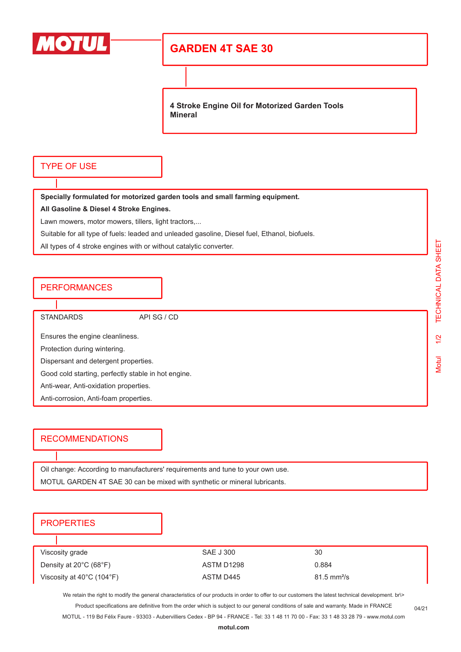

# **GARDEN 4T SAE 30**

**4 Stroke Engine Oil for Motorized Garden Tools Mineral**

### TYPE OF USE

**Specially formulated for motorized garden tools and small farming equipment.**

**All Gasoline & Diesel 4 Stroke Engines.**

Lawn mowers, motor mowers, tillers, light tractors,...

Suitable for all type of fuels: leaded and unleaded gasoline, Diesel fuel, Ethanol, biofuels.

All types of 4 stroke engines with or without catalytic converter.

#### **PERFORMANCES**

STANDARDS API SG / CD

Ensures the engine cleanliness.

Protection during wintering.

Dispersant and detergent properties.

Good cold starting, perfectly stable in hot engine.

Anti-wear, Anti-oxidation properties.

Anti-corrosion, Anti-foam properties.

## RECOMMENDATIONS

Oil change: According to manufacturers' requirements and tune to your own use. MOTUL GARDEN 4T SAE 30 can be mixed with synthetic or mineral lubricants.

#### **PROPERTIES**

| Viscosity grade                                | SAE J 300  | 30                           |
|------------------------------------------------|------------|------------------------------|
| Density at $20^{\circ}$ C (68 $^{\circ}$ F)    | ASTM D1298 | 0.884                        |
| Viscosity at $40^{\circ}$ C (104 $^{\circ}$ F) | ASTM D445  | $81.5 \text{ mm}^2/\text{s}$ |

We retain the right to modify the general characteristics of our products in order to offer to our customers the latest technical development. br\> Product specifications are definitive from the order which is subject to our general conditions of sale and warranty. Made in FRANCE

MOTUL - 119 Bd Félix Faure - 93303 - Aubervilliers Cedex - BP 94 - FRANCE - Tel: 33 1 48 11 70 00 - Fax: 33 1 48 33 28 79 - www.motul.com

04/21